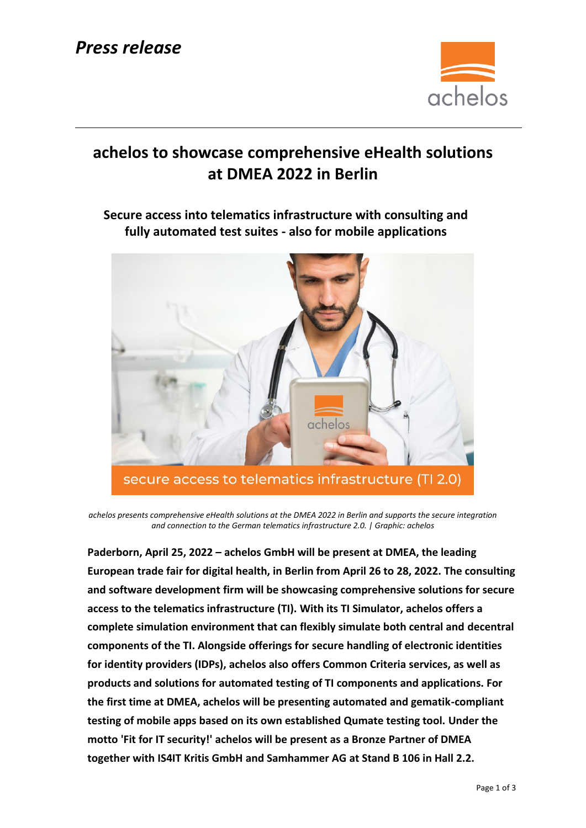

# **achelos to showcase comprehensive eHealth solutions at DMEA 2022 in Berlin**

## **Secure access into telematics infrastructure with consulting and fully automated test suites - also for mobile applications**



*achelos presents comprehensive eHealth solutions at the DMEA 2022 in Berlin and supports the secure integration and connection to the German telematics infrastructure 2.0. | Graphic: achelos*

**Paderborn, April 25, 2022 – achelos GmbH will be present at DMEA, the leading European trade fair for digital health, in Berlin from April 26 to 28, 2022. The consulting and software development firm will be showcasing comprehensive solutions for secure access to the telematics infrastructure (TI). With its TI Simulator, achelos offers a complete simulation environment that can flexibly simulate both central and decentral components of the TI. Alongside offerings for secure handling of electronic identities for identity providers (IDPs), achelos also offers Common Criteria services, as well as products and solutions for automated testing of TI components and applications. For the first time at DMEA, achelos will be presenting automated and gematik-compliant testing of mobile apps based on its own established Qumate testing tool. Under the motto 'Fit for IT security!' achelos will be present as a Bronze Partner of DMEA together with [IS4IT Kritis GmbH](https://www.linkedin.com/company/is4it-kritis/) and [Samhammer AG](https://www.linkedin.com/company/samhammer-ag/) at Stand B 106 in Hall 2.2.**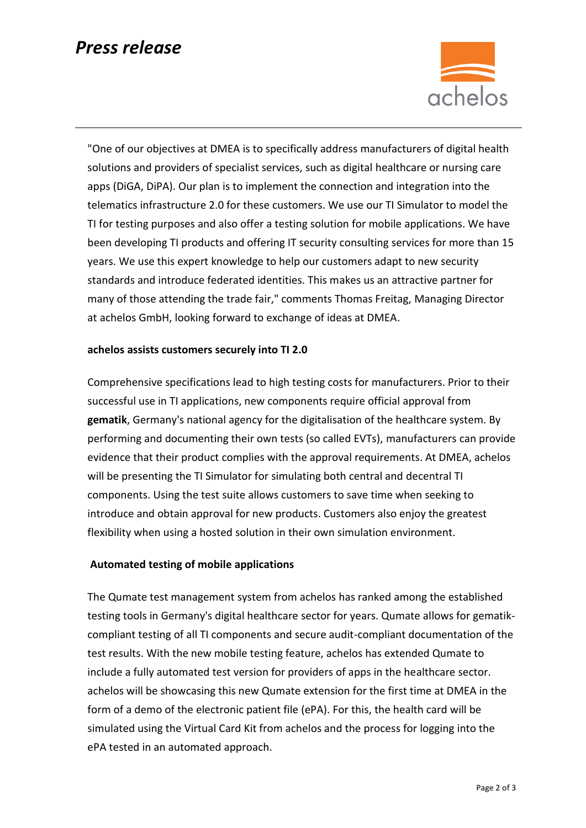# *Press release*



"One of our objectives at DMEA is to specifically address manufacturers of digital health solutions and providers of specialist services, such as digital healthcare or nursing care apps (DiGA, DiPA). Our plan is to implement the connection and integration into the telematics infrastructure 2.0 for these customers. We use our TI Simulator to model the TI for testing purposes and also offer a testing solution for mobile applications. We have been developing TI products and offering IT security consulting services for more than 15 years. We use this expert knowledge to help our customers adapt to new security standards and introduce federated identities. This makes us an attractive partner for many of those attending the trade fair," comments Thomas Freitag, Managing Director at achelos GmbH, looking forward to exchange of ideas at DMEA.

### **achelos assists customers securely into TI 2.0**

Comprehensive specifications lead to high testing costs for manufacturers. Prior to their successful use in TI applications, new components require official approval from **gematik**, Germany's national agency for the digitalisation of the healthcare system. By performing and documenting their own tests (so called EVTs), manufacturers can provide evidence that their product complies with the approval requirements. At DMEA, achelos will be presenting the TI Simulator for simulating both central and decentral TI components. Using the test suite allows customers to save time when seeking to introduce and obtain approval for new products. Customers also enjoy the greatest flexibility when using a hosted solution in their own simulation environment.

### **Automated testing of mobile applications**

The Qumate test management system from achelos has ranked among the established testing tools in Germany's digital healthcare sector for years. Qumate allows for gematikcompliant testing of all TI components and secure audit-compliant documentation of the test results. With the new mobile testing feature, achelos has extended Qumate to include a fully automated test version for providers of apps in the healthcare sector. achelos will be showcasing this new Qumate extension for the first time at DMEA in the form of a demo of the electronic patient file (ePA). For this, the health card will be simulated using the Virtual Card Kit from achelos and the process for logging into the ePA tested in an automated approach.